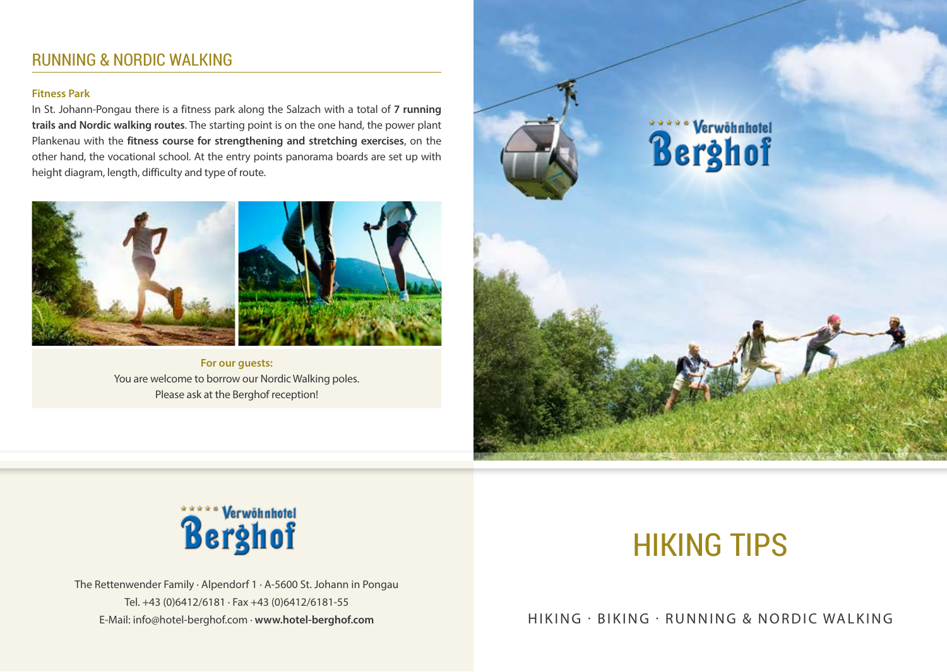# RUNNING & NORDIC WALKING

### **Fitness Park**

In St. Johann-Pongau there is a fitness park along the Salzach with a total of **7 running trails and Nordic walking routes**. The starting point is on the one hand, the power plant Plankenau with the **fitness course for strengthening and stretching exercises**, on the other hand, the vocational school. At the entry points panorama boards are set up with height diagram, length, difficulty and type of route.



**For our guests:**  You are welcome to borrow our Nordic Walking poles. Please ask at the Berghof reception!





The Rettenwender Family · Alpendorf 1 · A-5600 St. Johann in Pongau Tel. +43 (0)6412/6181 · Fax +43 (0)6412/6181-55

# HIKING TIPS

E-Mail: info@hotel-berghof.com · www.hotel-berghof.com **berghof.com** HIKING · BIKING · RUNNING & NORDIC WALKING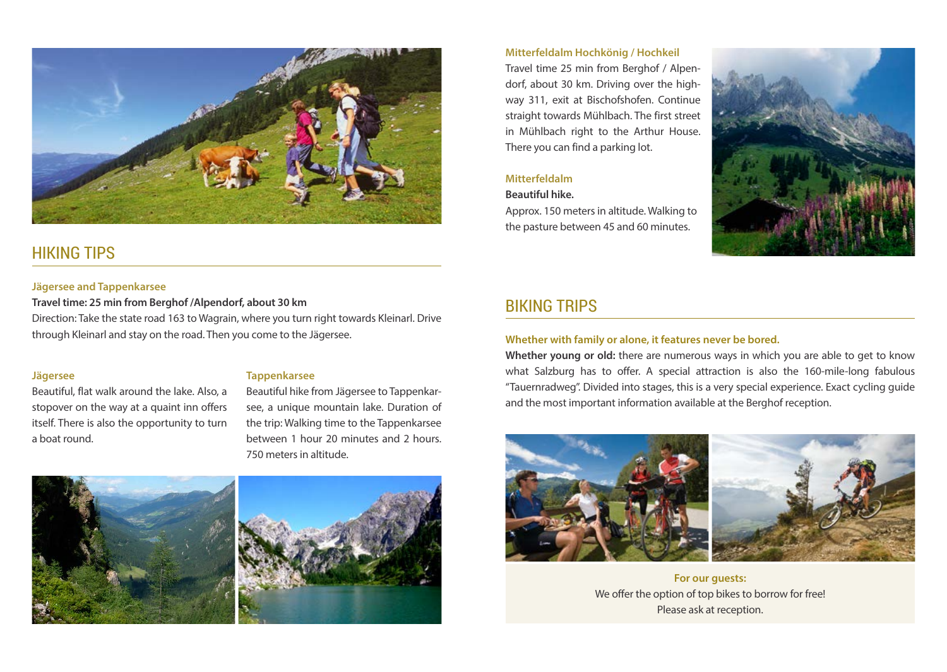

# HIKING TIPS

### **Jägersee and Tappenkarsee**

**Travel time: 25 min from Berghof /Alpendorf, about 30 km** Direction: Take the state road 163 to Wagrain, where you turn right towards Kleinarl. Drive through Kleinarl and stay on the road. Then you come to the Jägersee.

### **Jägersee**

Beautiful, flat walk around the lake. Also, a stopover on the way at a quaint inn offers itself. There is also the opportunity to turn a boat round.

### **Tappenkarsee**

Beautiful hike from Jägersee to Tappenkarsee, a unique mountain lake. Duration of the trip: Walking time to the Tappenkarsee between 1 hour 20 minutes and 2 hours. 750 meters in altitude.





### **Mitterfeldalm Hochkönig / Hochkeil**

Travel time 25 min from Berghof / Alpendorf, about 30 km. Driving over the highway 311, exit at Bischofshofen. Continue straight towards Mühlbach. The first street in Mühlbach right to the Arthur House. There you can find a parking lot.

### **Mitterfeldalm**

### **Beautiful hike.**

Approx. 150 meters in altitude. Walking to the pasture between 45 and 60 minutes.



# BIKING TRIPS

### **Whether with family or alone, it features never be bored.**

**Whether young or old:** there are numerous ways in which you are able to get to know what Salzburg has to offer. A special attraction is also the 160-mile-long fabulous "Tauernradweg". Divided into stages, this is a very special experience. Exact cycling guide and the most important information available at the Berghof reception.





**For our guests:** We offer the option of top bikes to borrow for free! Please ask at reception.